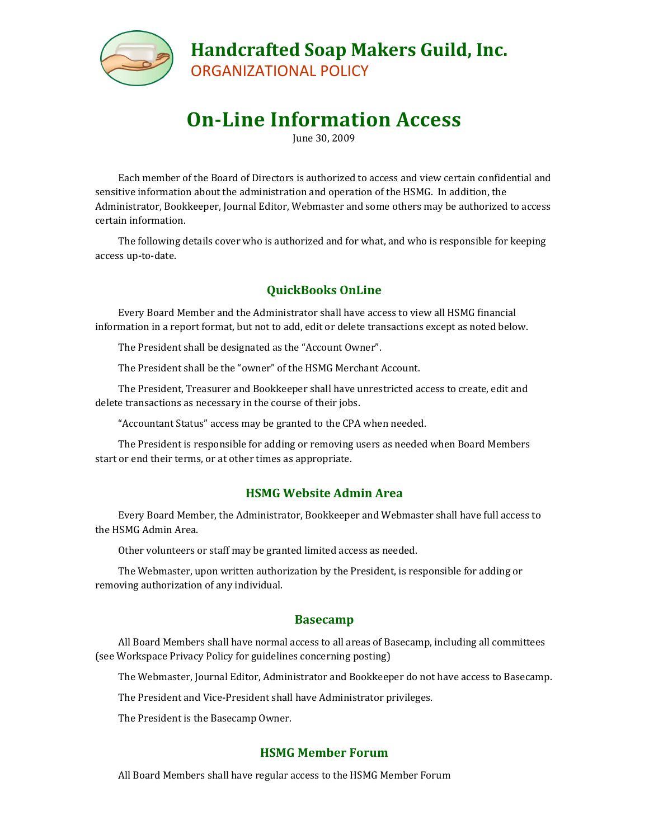

# **On-Line Information Access**

June 30, 2009

Each member of the Board of Directors is authorized to access and view certain confidential and sensitive information about the administration and operation of the HSMG. In addition, the Administrator, Bookkeeper, Journal Editor, Webmaster and some others may be authorized to access certain information.

The following details cover who is authorized and for what, and who is responsible for keeping access up-to-date.

### **QuickBooks OnLine**

Every Board Member and the Administrator shall have access to view all HSMG financial information in a report format, but not to add, edit or delete transactions except as noted below.

The President shall be designated as the "Account Owner".

The President shall be the "owner" of the HSMG Merchant Account.

The President, Treasurer and Bookkeeper shall have unrestricted access to create, edit and delete transactions as necessary in the course of their jobs.

"Accountant Status" access may be granted to the CPA when needed.

The President is responsible for adding or removing users as needed when Board Members start or end their terms, or at other times as appropriate.

#### **HSMG Website Admin Area**

Every Board Member, the Administrator, Bookkeeper and Webmaster shall have full access to the HSMG Admin Area.

Other volunteers or staff may be granted limited access as needed.

The Webmaster, upon written authorization by the President, is responsible for adding or removing authorization of any individual.

#### **Basecamp**

All Board Members shall have normal access to all areas of Basecamp, including all committees (see Workspace Privacy Policy for guidelines concerning posting)

The Webmaster, Journal Editor, Administrator and Bookkeeper do not have access to Basecamp.

The President and Vice-President shall have Administrator privileges.

The President is the Basecamp Owner.

#### **HSMG Member Forum**

All Board Members shall have regular access to the HSMG Member Forum